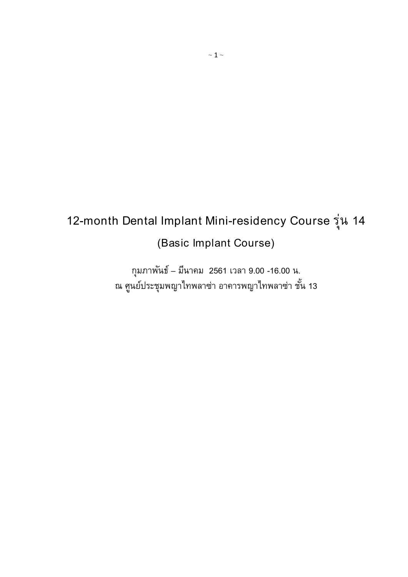# 12-month Dental Implant Mini-residency Course ร่น ุ 14 (Basic Implant Course)

กุมภาพันธ์ – มีนาคม  $\,$  2561 เวลา 9.00 -16.00 น. ณ ศูนย์ประชุมพญาไทพลาซ่า อาคารพญาไทพลาซ่า ชั้น 13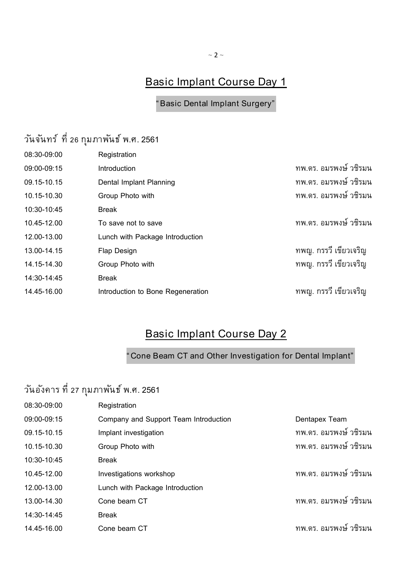### Basic Implant Course Day 1

"Basic Dental Implant Surgery"

# วันจันทร์ ที่ 26 กุมภาพันธ์ พ.ศ. 2561

| 08:30-09:00 | Registration                      |                       |
|-------------|-----------------------------------|-----------------------|
| 09:00-09:15 | Introduction                      | ทพ.ดร. อมรพงษ์ วชิรมน |
| 09.15-10.15 | Dental Implant Planning           | ทพ.ดร. อมรพงษ์ วชิรมน |
| 10.15-10.30 | Group Photo with                  | ทพ.ดร. อมรพงษ์ วชิรมน |
| 10:30-10:45 | <b>Break</b>                      |                       |
| 10.45-12.00 | To save not to save               | ทพ.ดร. อมรพงษ์ วชิรมน |
| 12.00-13.00 | Lunch with Package Introduction   |                       |
| 13.00-14.15 | <b>Flap Design</b>                | ทพญ. กรรวี เขียวเจริญ |
| 14.15-14.30 | Group Photo with                  | ทพญ. กรรวี เขียวเจริญ |
| 14:30-14:45 | <b>Break</b>                      |                       |
| 14.45-16.00 | Introduction to Bone Regeneration | ทพญ. กรรวี เขียวเจริญ |

### Basic Implant Course Day 2

"Cone Beam CT and Other Investigation for Dental Implant"

# ้วันอังคาร ที่ 27 กุมภาพันธ์ พ.ศ. 2561

| 08:30-09:00 | Registration                          |                        |
|-------------|---------------------------------------|------------------------|
| 09:00-09:15 | Company and Support Team Introduction | Dentapex Team          |
| 09.15-10.15 | Implant investigation                 | ิทพ.ดร. อมรพงษ์ วชิรมน |
| 10.15-10.30 | Group Photo with                      | ิทพ.ดร. อมรพงษ์ วชิรมน |
| 10:30-10:45 | <b>Break</b>                          |                        |
| 10.45-12.00 | Investigations workshop               | ทพ.ดร. อมรพงษ์ วชิรมน  |
| 12.00-13.00 | Lunch with Package Introduction       |                        |
| 13.00-14.30 | Cone beam CT                          | ทพ.ดร. อมรพงษ์ วชิรมน  |
| 14:30-14:45 | <b>Break</b>                          |                        |
| 14.45-16.00 | Cone beam CT                          | ทพ.ดร. อมรพงษ์ วชิรมน  |